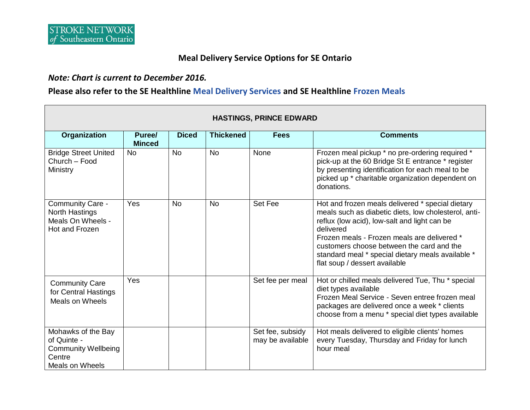### **Meal Delivery Service Options for SE Ontario**

#### *Note: Chart is current to December 2016.*

### **Please also refer to the SE Healthline [Meal Delivery Services](http://www.southeasthealthline.ca/listServices.aspx?id=10107) and SE Healthline [Frozen Meals](http://www.southeasthealthline.ca/listServices.aspx?id=10901)**

| <b>HASTINGS, PRINCE EDWARD</b>                                                               |                         |              |                  |                                      |                                                                                                                                                                                                                                                                                                                                                         |  |
|----------------------------------------------------------------------------------------------|-------------------------|--------------|------------------|--------------------------------------|---------------------------------------------------------------------------------------------------------------------------------------------------------------------------------------------------------------------------------------------------------------------------------------------------------------------------------------------------------|--|
| Organization                                                                                 | Puree/<br><b>Minced</b> | <b>Diced</b> | <b>Thickened</b> | <b>Fees</b>                          | <b>Comments</b>                                                                                                                                                                                                                                                                                                                                         |  |
| <b>Bridge Street United</b><br>Church - Food<br>Ministry                                     | <b>No</b>               | <b>No</b>    | <b>No</b>        | None                                 | Frozen meal pickup * no pre-ordering required *<br>pick-up at the 60 Bridge St E entrance * register<br>by presenting identification for each meal to be<br>picked up * charitable organization dependent on<br>donations.                                                                                                                              |  |
| Community Care -<br><b>North Hastings</b><br>Meals On Wheels -<br>Hot and Frozen             | Yes                     | <b>No</b>    | <b>No</b>        | Set Fee                              | Hot and frozen meals delivered * special dietary<br>meals such as diabetic diets, low cholesterol, anti-<br>reflux (low acid), low-salt and light can be<br>delivered<br>Frozen meals - Frozen meals are delivered *<br>customers choose between the card and the<br>standard meal * special dietary meals available *<br>flat soup / dessert available |  |
| <b>Community Care</b><br>for Central Hastings<br>Meals on Wheels                             | Yes                     |              |                  | Set fee per meal                     | Hot or chilled meals delivered Tue, Thu * special<br>diet types available<br>Frozen Meal Service - Seven entree frozen meal<br>packages are delivered once a week * clients<br>choose from a menu * special diet types available                                                                                                                        |  |
| Mohawks of the Bay<br>of Quinte -<br><b>Community Wellbeing</b><br>Centre<br>Meals on Wheels |                         |              |                  | Set fee, subsidy<br>may be available | Hot meals delivered to eligible clients' homes<br>every Tuesday, Thursday and Friday for lunch<br>hour meal                                                                                                                                                                                                                                             |  |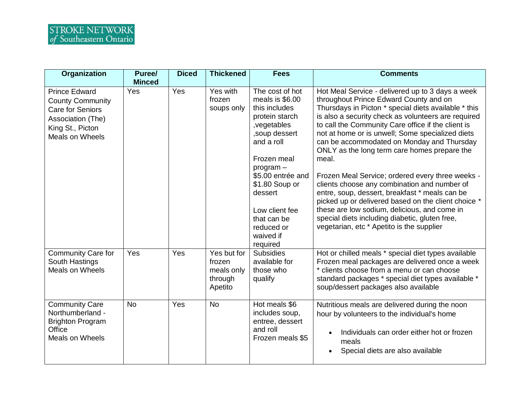| <b>Organization</b>                                                                                                                    | Puree/<br><b>Minced</b> | <b>Diced</b> | <b>Thickened</b>                                          | <b>Fees</b>                                                                                                                                                                                                                                                                   | <b>Comments</b>                                                                                                                                                                                                                                                                                                                                                                                                                                                                                                                                                                                                                                                                                                                                                                        |
|----------------------------------------------------------------------------------------------------------------------------------------|-------------------------|--------------|-----------------------------------------------------------|-------------------------------------------------------------------------------------------------------------------------------------------------------------------------------------------------------------------------------------------------------------------------------|----------------------------------------------------------------------------------------------------------------------------------------------------------------------------------------------------------------------------------------------------------------------------------------------------------------------------------------------------------------------------------------------------------------------------------------------------------------------------------------------------------------------------------------------------------------------------------------------------------------------------------------------------------------------------------------------------------------------------------------------------------------------------------------|
| <b>Prince Edward</b><br><b>County Community</b><br><b>Care for Seniors</b><br>Association (The)<br>King St., Picton<br>Meals on Wheels | Yes                     | Yes          | Yes with<br>frozen<br>soups only                          | The cost of hot<br>meals is \$6.00<br>this includes<br>protein starch<br>, vegetables<br>, soup dessert<br>and a roll<br>Frozen meal<br>$program -$<br>\$5.00 entrée and<br>\$1.80 Soup or<br>dessert<br>Low client fee<br>that can be<br>reduced or<br>waived if<br>required | Hot Meal Service - delivered up to 3 days a week<br>throughout Prince Edward County and on<br>Thursdays in Picton * special diets available * this<br>is also a security check as volunteers are required<br>to call the Community Care office if the client is<br>not at home or is unwell; Some specialized diets<br>can be accommodated on Monday and Thursday<br>ONLY as the long term care homes prepare the<br>meal.<br>Frozen Meal Service; ordered every three weeks -<br>clients choose any combination and number of<br>entre, soup, dessert, breakfast * meals can be<br>picked up or delivered based on the client choice *<br>these are low sodium, delicious, and come in<br>special diets including diabetic, gluten free,<br>vegetarian, etc * Apetito is the supplier |
| <b>Community Care for</b><br>South Hastings<br>Meals on Wheels                                                                         | Yes                     | Yes          | Yes but for<br>frozen<br>meals only<br>through<br>Apetito | <b>Subsidies</b><br>available for<br>those who<br>qualify                                                                                                                                                                                                                     | Hot or chilled meals * special diet types available<br>Frozen meal packages are delivered once a week<br>* clients choose from a menu or can choose<br>standard packages * special diet types available *<br>soup/dessert packages also available                                                                                                                                                                                                                                                                                                                                                                                                                                                                                                                                      |
| <b>Community Care</b><br>Northumberland -<br><b>Brighton Program</b><br>Office<br>Meals on Wheels                                      | <b>No</b>               | Yes          | <b>No</b>                                                 | Hot meals \$6<br>includes soup,<br>entree, dessert<br>and roll<br>Frozen meals \$5                                                                                                                                                                                            | Nutritious meals are delivered during the noon<br>hour by volunteers to the individual's home<br>Individuals can order either hot or frozen<br>meals<br>Special diets are also available                                                                                                                                                                                                                                                                                                                                                                                                                                                                                                                                                                                               |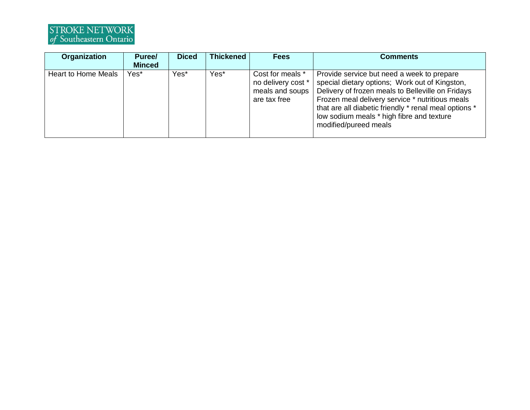# STROKE NETWORK<br>of Southeastern Ontario

| Organization        | Puree/<br><b>Minced</b> | <b>Diced</b> | <b>Thickened</b> | <b>Fees</b>                                                               | <b>Comments</b>                                                                                                                                                                                                                                                                                                                     |
|---------------------|-------------------------|--------------|------------------|---------------------------------------------------------------------------|-------------------------------------------------------------------------------------------------------------------------------------------------------------------------------------------------------------------------------------------------------------------------------------------------------------------------------------|
| Heart to Home Meals | Yes*                    | Yes*         | Yes*             | Cost for meals *<br>no delivery cost *<br>meals and soups<br>are tax free | Provide service but need a week to prepare<br>special dietary options; Work out of Kingston,<br>Delivery of frozen meals to Belleville on Fridays<br>Frozen meal delivery service * nutritious meals<br>that are all diabetic friendly * renal meal options *<br>low sodium meals * high fibre and texture<br>modified/pureed meals |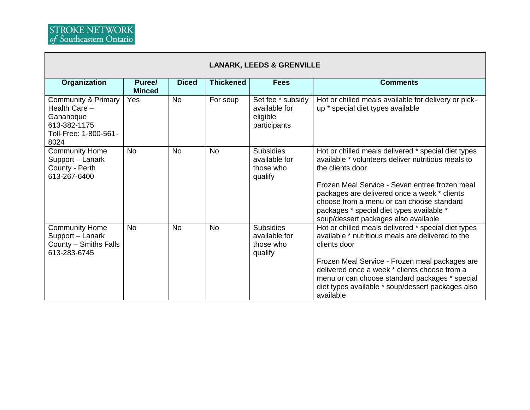| <b>LANARK, LEEDS &amp; GRENVILLE</b>                                                                          |                         |              |                  |                                                                |                                                                                                                                                                                                                                                                                                                                                                   |  |
|---------------------------------------------------------------------------------------------------------------|-------------------------|--------------|------------------|----------------------------------------------------------------|-------------------------------------------------------------------------------------------------------------------------------------------------------------------------------------------------------------------------------------------------------------------------------------------------------------------------------------------------------------------|--|
| Organization                                                                                                  | Puree/<br><b>Minced</b> | <b>Diced</b> | <b>Thickened</b> | <b>Fees</b>                                                    | <b>Comments</b>                                                                                                                                                                                                                                                                                                                                                   |  |
| <b>Community &amp; Primary</b><br>Health Care -<br>Gananoque<br>613-382-1175<br>Toll-Free: 1-800-561-<br>8024 | Yes                     | <b>No</b>    | For soup         | Set fee * subsidy<br>available for<br>eligible<br>participants | Hot or chilled meals available for delivery or pick-<br>up * special diet types available                                                                                                                                                                                                                                                                         |  |
| <b>Community Home</b><br>Support - Lanark<br>County - Perth<br>613-267-6400                                   | <b>No</b>               | <b>No</b>    | <b>No</b>        | <b>Subsidies</b><br>available for<br>those who<br>qualify      | Hot or chilled meals delivered * special diet types<br>available * volunteers deliver nutritious meals to<br>the clients door<br>Frozen Meal Service - Seven entree frozen meal<br>packages are delivered once a week * clients<br>choose from a menu or can choose standard<br>packages * special diet types available *<br>soup/dessert packages also available |  |
| <b>Community Home</b><br>Support - Lanark<br>County - Smiths Falls<br>613-283-6745                            | <b>No</b>               | <b>No</b>    | <b>No</b>        | <b>Subsidies</b><br>available for<br>those who<br>qualify      | Hot or chilled meals delivered * special diet types<br>available * nutritious meals are delivered to the<br>clients door<br>Frozen Meal Service - Frozen meal packages are<br>delivered once a week * clients choose from a<br>menu or can choose standard packages * special<br>diet types available * soup/dessert packages also<br>available                   |  |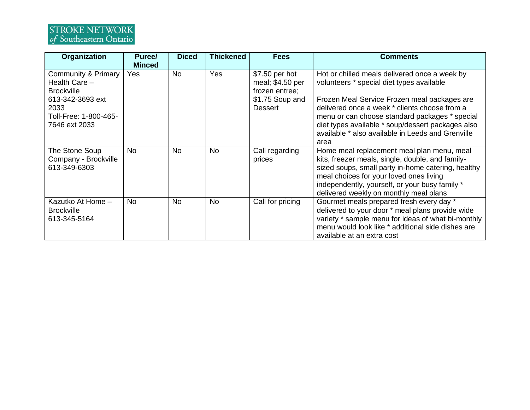# STROKE NETWORK<br>of Southeastern Ontario

| <b>Organization</b>                                                                                                                        | Puree/<br><b>Minced</b> | <b>Diced</b> | <b>Thickened</b> | <b>Fees</b>                                                                               | <b>Comments</b>                                                                                                                                                                                                                                                                                                                                                 |
|--------------------------------------------------------------------------------------------------------------------------------------------|-------------------------|--------------|------------------|-------------------------------------------------------------------------------------------|-----------------------------------------------------------------------------------------------------------------------------------------------------------------------------------------------------------------------------------------------------------------------------------------------------------------------------------------------------------------|
| <b>Community &amp; Primary</b><br>Health Care -<br><b>Brockville</b><br>613-342-3693 ext<br>2033<br>Toll-Free: 1-800-465-<br>7646 ext 2033 | Yes                     | No           | Yes              | \$7.50 per hot<br>meal; \$4.50 per<br>frozen entree;<br>\$1.75 Soup and<br><b>Dessert</b> | Hot or chilled meals delivered once a week by<br>volunteers * special diet types available<br>Frozen Meal Service Frozen meal packages are<br>delivered once a week * clients choose from a<br>menu or can choose standard packages * special<br>diet types available * soup/dessert packages also<br>available * also available in Leeds and Grenville<br>area |
| The Stone Soup<br>Company - Brockville<br>613-349-6303                                                                                     | <b>No</b>               | No           | <b>No</b>        | Call regarding<br>prices                                                                  | Home meal replacement meal plan menu, meal<br>kits, freezer meals, single, double, and family-<br>sized soups, small party in-home catering, healthy<br>meal choices for your loved ones living<br>independently, yourself, or your busy family *<br>delivered weekly on monthly meal plans                                                                     |
| Kazutko At Home -<br><b>Brockville</b><br>613-345-5164                                                                                     | <b>No</b>               | No           | <b>No</b>        | Call for pricing                                                                          | Gourmet meals prepared fresh every day *<br>delivered to your door * meal plans provide wide<br>variety * sample menu for ideas of what bi-monthly<br>menu would look like * additional side dishes are<br>available at an extra cost                                                                                                                           |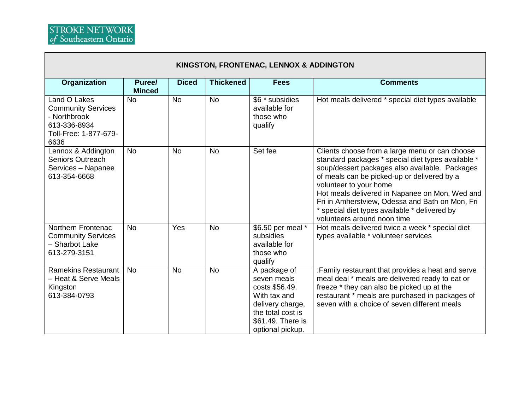| KINGSTON, FRONTENAC, LENNOX & ADDINGTON                                                                    |                         |              |                  |                                                                                                                                                 |                                                                                                                                                                                                                                                                                                                                                                                                                      |  |  |
|------------------------------------------------------------------------------------------------------------|-------------------------|--------------|------------------|-------------------------------------------------------------------------------------------------------------------------------------------------|----------------------------------------------------------------------------------------------------------------------------------------------------------------------------------------------------------------------------------------------------------------------------------------------------------------------------------------------------------------------------------------------------------------------|--|--|
| Organization                                                                                               | Puree/<br><b>Minced</b> | <b>Diced</b> | <b>Thickened</b> | <b>Fees</b>                                                                                                                                     | <b>Comments</b>                                                                                                                                                                                                                                                                                                                                                                                                      |  |  |
| Land O Lakes<br><b>Community Services</b><br>- Northbrook<br>613-336-8934<br>Toll-Free: 1-877-679-<br>6636 | <b>No</b>               | <b>No</b>    | <b>No</b>        | \$6 * subsidies<br>available for<br>those who<br>qualify                                                                                        | Hot meals delivered * special diet types available                                                                                                                                                                                                                                                                                                                                                                   |  |  |
| Lennox & Addington<br><b>Seniors Outreach</b><br>Services - Napanee<br>613-354-6668                        | <b>No</b>               | <b>No</b>    | <b>No</b>        | Set fee                                                                                                                                         | Clients choose from a large menu or can choose<br>standard packages * special diet types available *<br>soup/dessert packages also available. Packages<br>of meals can be picked-up or delivered by a<br>volunteer to your home<br>Hot meals delivered in Napanee on Mon, Wed and<br>Fri in Amherstview, Odessa and Bath on Mon, Fri<br>* special diet types available * delivered by<br>volunteers around noon time |  |  |
| Northern Frontenac<br><b>Community Services</b><br>- Sharbot Lake<br>613-279-3151                          | <b>No</b>               | Yes          | <b>No</b>        | \$6.50 per meal *<br>subsidies<br>available for<br>those who<br>qualify                                                                         | Hot meals delivered twice a week * special diet<br>types available * volunteer services                                                                                                                                                                                                                                                                                                                              |  |  |
| <b>Ramekins Restaurant</b><br>- Heat & Serve Meals<br>Kingston<br>613-384-0793                             | <b>No</b>               | <b>No</b>    | <b>No</b>        | A package of<br>seven meals<br>costs \$56.49.<br>With tax and<br>delivery charge,<br>the total cost is<br>\$61.49. There is<br>optional pickup. | :Family restaurant that provides a heat and serve<br>meal deal * meals are delivered ready to eat or<br>freeze * they can also be picked up at the<br>restaurant * meals are purchased in packages of<br>seven with a choice of seven different meals                                                                                                                                                                |  |  |